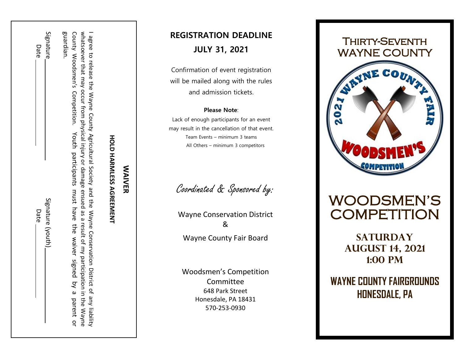Date Date Signature (youth) Signature (youth) Date

Signature

Date

guardian. whatsoever that may occur from physical injury or damage ensued as a result of my participation in the Wayne I agree to release the Wayne County Agricultural Society and the Wayne Conservation District of any liability County Woodsmen's County Woodsmen's Comp whatsoever that may occur from physical injury or damage ensued as a result of my participation in the Wayne I agree to release the Wayne County Agricultural Society and the Wayne Conservation District of any liability Competition. Youth participants Youth participants must have the waiver signed by a parent or must have the waiver signed by a parent or

## **WAIVER WAIVER**

**HOLD HARMLESS AGREEMENT**

**HOLD HARMLESS AGREEMENT** 

#### **REGISTRATION DEADLINE JULY 31, 2021**

Confirmation of event registration will be mailed along with the rules and admission tickets .

#### **Please Note** :

Lack of enough participants for an event may result in the cancellation of that event. Team Events – minimum 3 teams All Others – minimum 3 competitors

Coordinated & Sponsored by:

Wayne Conservation District & Wayne County Fair Board

Woodsmen's Competition Committee 648 Park Street Honesdale, PA 18431 570 -253 -0930

# Thirty-Seventh WAYNE COUNTY  $\overline{\mathbf{e}}$

### WOODSMEN'S **COMPETITION**

**SATURDAY August 14, 2021 1:00 pm**

**WAYNE COUNTY FAIRGROUNDS HONESDALE, PA**